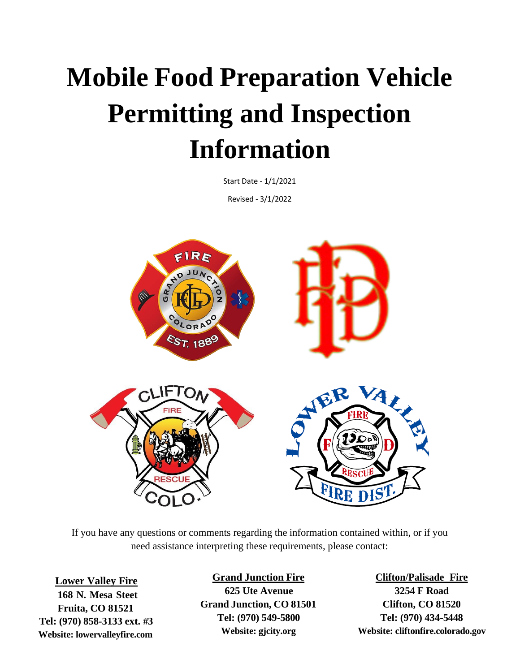# **Mobile Food Preparation Vehicle Permitting and Inspection Information**

Start Date - 1/1/2021

Revised - 3/1/2022



If you have any questions or comments regarding the information contained within, or if you need assistance interpreting these requirements, please contact:

**Lower Valley Fire 168 N. Mesa Steet Fruita, CO 81521 Tel: (970) 858-3133 ext. #3 Website: lowervalleyfire.com**

#### **Grand Junction Fire**

**625 Ute Avenue Grand Junction, CO 81501 Tel: (970) 549-5800 Website: gjcity.org**

**Clifton/Palisade Fire 3254 F Road Clifton, CO 81520 Tel: (970) 434-5448 Website: cliftonfire.colorado.gov**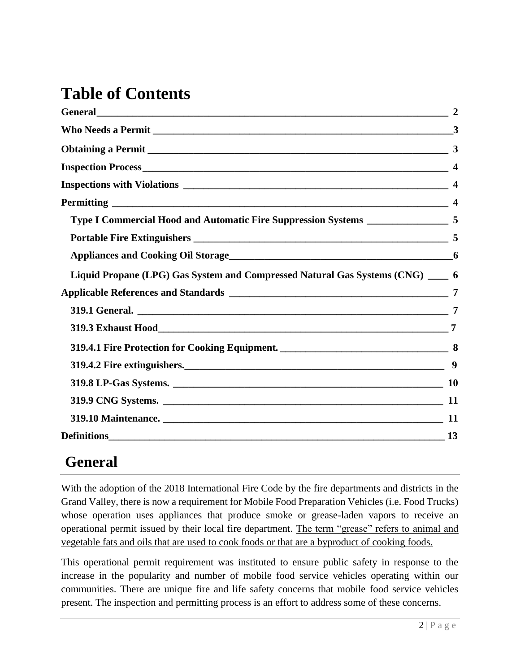## **Table of Contents**

| General <u>Constantino and the set of the set of the set of the set of the set of the set of the set of the set of the set of the set of the set of the set of the set of the set of the set of the set of the set of the set of</u> | $\overline{2}$ |
|--------------------------------------------------------------------------------------------------------------------------------------------------------------------------------------------------------------------------------------|----------------|
|                                                                                                                                                                                                                                      |                |
|                                                                                                                                                                                                                                      |                |
|                                                                                                                                                                                                                                      |                |
|                                                                                                                                                                                                                                      |                |
|                                                                                                                                                                                                                                      |                |
|                                                                                                                                                                                                                                      |                |
|                                                                                                                                                                                                                                      |                |
|                                                                                                                                                                                                                                      |                |
| Liquid Propane (LPG) Gas System and Compressed Natural Gas Systems (CNG) ____ 6                                                                                                                                                      |                |
|                                                                                                                                                                                                                                      | 7              |
|                                                                                                                                                                                                                                      |                |
|                                                                                                                                                                                                                                      |                |
|                                                                                                                                                                                                                                      |                |
|                                                                                                                                                                                                                                      | 9              |
|                                                                                                                                                                                                                                      |                |
|                                                                                                                                                                                                                                      |                |
|                                                                                                                                                                                                                                      |                |
| Definitions 13                                                                                                                                                                                                                       |                |

## **General**

With the adoption of the 2018 International Fire Code by the fire departments and districts in the Grand Valley, there is now a requirement for Mobile Food Preparation Vehicles (i.e. Food Trucks) whose operation uses appliances that produce smoke or grease-laden vapors to receive an operational permit issued by their local fire department. The term "grease" refers to animal and vegetable fats and oils that are used to cook foods or that are a byproduct of cooking foods.

This operational permit requirement was instituted to ensure public safety in response to the increase in the popularity and number of mobile food service vehicles operating within our communities. There are unique fire and life safety concerns that mobile food service vehicles present. The inspection and permitting process is an effort to address some of these concerns.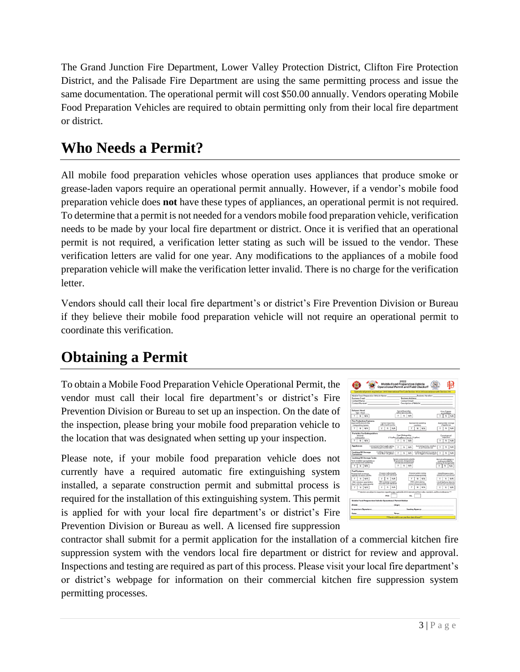The Grand Junction Fire Department, Lower Valley Protection District, Clifton Fire Protection District, and the Palisade Fire Department are using the same permitting process and issue the same documentation. The operational permit will cost \$50.00 annually. Vendors operating Mobile Food Preparation Vehicles are required to obtain permitting only from their local fire department or district.

## **Who Needs a Permit?**

All mobile food preparation vehicles whose operation uses appliances that produce smoke or grease-laden vapors require an operational permit annually. However, if a vendor's mobile food preparation vehicle does **not** have these types of appliances, an operational permit is not required. To determine that a permit is not needed for a vendors mobile food preparation vehicle, verification needs to be made by your local fire department or district. Once it is verified that an operational permit is not required, a verification letter stating as such will be issued to the vendor. These verification letters are valid for one year. Any modifications to the appliances of a mobile food preparation vehicle will make the verification letter invalid. There is no charge for the verification letter.

Vendors should call their local fire department's or district's Fire Prevention Division or Bureau if they believe their mobile food preparation vehicle will not require an operational permit to coordinate this verification.

## **Obtaining a Permit**

To obtain a Mobile Food Preparation Vehicle Operational Permit, the vendor must call their local fire department's or district's Fire Prevention Division or Bureau to set up an inspection. On the date of the inspection, please bring your mobile food preparation vehicle to the location that was designated when setting up your inspection.

Please note, if your mobile food preparation vehicle does not currently have a required automatic fire extinguishing system installed, a separate construction permit and submittal process is required for the installation of this extinguishing system. This permit is applied for with your local fire department's or district's Fire Prevention Division or Bureau as well. A licensed fire suppression

|                                                                                                                                                                                                                                | <b>Operational Permit and Field Checkoff</b>                                                                                      | 2022                                                                                                       | <b>Mobile Food Preparation Vehicle</b>                               |                                            |                                                                                            |     |  |
|--------------------------------------------------------------------------------------------------------------------------------------------------------------------------------------------------------------------------------|-----------------------------------------------------------------------------------------------------------------------------------|------------------------------------------------------------------------------------------------------------|----------------------------------------------------------------------|--------------------------------------------|--------------------------------------------------------------------------------------------|-----|--|
| Operational permit required per 2018 International Fire Code Section 105.6.30 in accordance with Section 319                                                                                                                   |                                                                                                                                   |                                                                                                            |                                                                      |                                            |                                                                                            |     |  |
| Mobile Food Preparation Vehicle Name:                                                                                                                                                                                          |                                                                                                                                   |                                                                                                            |                                                                      | Business Number: North American State Ave. |                                                                                            |     |  |
| Business Email: Business Address: Business Address:                                                                                                                                                                            |                                                                                                                                   |                                                                                                            |                                                                      |                                            |                                                                                            |     |  |
|                                                                                                                                                                                                                                |                                                                                                                                   | Contact Name: Contact Email:<br>Contact Number: Description of Vehicle: Contact Number                     |                                                                      |                                            |                                                                                            |     |  |
|                                                                                                                                                                                                                                |                                                                                                                                   |                                                                                                            |                                                                      |                                            |                                                                                            |     |  |
| <b>Exhaust Hood</b>                                                                                                                                                                                                            |                                                                                                                                   | Current Inspection                                                                                         |                                                                      |                                            | Free of greate                                                                             |     |  |
| Tyne 1 Hoyal                                                                                                                                                                                                                   | within last 6 months.                                                                                                             |                                                                                                            |                                                                      |                                            | accumulation                                                                               |     |  |
| $\boldsymbol{N}$<br>N/A                                                                                                                                                                                                        |                                                                                                                                   | $_{\rm N}$                                                                                                 | N/A                                                                  |                                            | N                                                                                          | N/A |  |
| <b>Fire Protection Features</b><br>Approved Automatic Fire                                                                                                                                                                     | Current Inspection                                                                                                                |                                                                                                            | Appropriate operating                                                |                                            | Appropriate coverage                                                                       |     |  |
| Extinguishing System                                                                                                                                                                                                           | within last 6 months                                                                                                              | condition                                                                                                  |                                                                      |                                            | of appliances.                                                                             |     |  |
| $\overline{N}$<br>N/A<br>Ÿ                                                                                                                                                                                                     | N/A<br>γ<br>н                                                                                                                     |                                                                                                            | Y<br>N<br>N/A                                                        |                                            | N                                                                                          | N/A |  |
| <b>Portable Fire Extinguishers</b>                                                                                                                                                                                             |                                                                                                                                   | Class K Extinguisher                                                                                       |                                                                      |                                            |                                                                                            |     |  |
| 2A10-BC<br>Extinguisher                                                                                                                                                                                                        |                                                                                                                                   |                                                                                                            | (1.5 gallon, 2.5 gallon or two (2) 1.5 gallon).                      |                                            | Current annual<br>inspection                                                               |     |  |
| N<br>N/A                                                                                                                                                                                                                       |                                                                                                                                   | м                                                                                                          | N/A                                                                  |                                            | N                                                                                          | N/A |  |
|                                                                                                                                                                                                                                |                                                                                                                                   |                                                                                                            |                                                                      |                                            |                                                                                            |     |  |
| <b>Appliances</b>                                                                                                                                                                                                              | Connection to feel supply piping<br>installed as per manufacturer                                                                 | N                                                                                                          | Restraining device installed<br>N/A<br>as per manufacture.           | Υ                                          | N                                                                                          | N/A |  |
| <b>Cooking Oil Storage</b><br>Containers                                                                                                                                                                                       | Cooking oil storage not<br>more than 120 gallons                                                                                  | Υ<br>N                                                                                                     | Cooking oil stored in a way as<br>N/A<br>not to topple or be damaged |                                            | Ϋ<br>N                                                                                     | N/A |  |
| <b>Cooking Oil Storage Tanks</b><br>Tanks installed appropriately as<br>per manufacturer and lating<br>$\overline{\mathbf{M}}$<br>٧<br>N/A                                                                                     |                                                                                                                                   | System components suitable<br>for premares, temperatures.<br>and stresses encountered<br>v<br>$\mathbf{N}$ | N/A                                                                  |                                            | Normal and emergency<br>venting provided for<br>cooking of storage tanks<br>$\overline{N}$ | N/A |  |
|                                                                                                                                                                                                                                |                                                                                                                                   |                                                                                                            |                                                                      |                                            |                                                                                            |     |  |
| <b>Fuel Systems</b><br>Propaga tank reasinnam<br>capacity not above 200 lbs.                                                                                                                                                   | Propane tank properly<br>reasonized and neutrained                                                                                |                                                                                                            | Propene system piping<br>protected approximately                     |                                            | Listed Propane alarm<br>present and operational                                            |     |  |
| N<br>N/A                                                                                                                                                                                                                       | N<br>N/A                                                                                                                          |                                                                                                            | м<br>N/A                                                             |                                            | N                                                                                          | N/A |  |
| CNG container capacity less<br>than 1,300 lbs, water capacity                                                                                                                                                                  | CNG container property<br>reasoning and restrained                                                                                |                                                                                                            | CNS cyttern piping<br>protected appropriately                        |                                            | Listed Methora datestre<br>present and spengtional                                         |     |  |
| Y<br>$\overline{1}$<br>$N/\Delta$                                                                                                                                                                                              | ٧<br>ы<br>N/A                                                                                                                     |                                                                                                            | ٧<br>N<br>N/A                                                        |                                            | N                                                                                          | N/A |  |
|                                                                                                                                                                                                                                | *** Vendors are subject to inspection regarding ALL applicable 2010 (eternational Fire Codes, standards, and local ordinances *** |                                                                                                            |                                                                      |                                            |                                                                                            |     |  |
|                                                                                                                                                                                                                                | <b>PASS</b>                                                                                                                       |                                                                                                            | FAIL                                                                 |                                            |                                                                                            |     |  |
| <b>Mobile Food Preparation Vehicle Operational Permit Holder</b>                                                                                                                                                               |                                                                                                                                   |                                                                                                            |                                                                      |                                            |                                                                                            |     |  |
| (Print)                                                                                                                                                                                                                        | Significant (Significant Contract)                                                                                                |                                                                                                            |                                                                      |                                            |                                                                                            |     |  |
| Inspectors Signature: The contract of the contract of the contract of the contract of the contract of the contract of the contract of the contract of the contract of the contract of the contract of the contract of the cont |                                                                                                                                   |                                                                                                            | Issuing Agency:                                                      |                                            |                                                                                            |     |  |
| Date:                                                                                                                                                                                                                          | Times                                                                                                                             |                                                                                                            |                                                                      |                                            |                                                                                            |     |  |
|                                                                                                                                                                                                                                |                                                                                                                                   |                                                                                                            | *** Parmit valid for one year from date of issue***                  |                                            |                                                                                            |     |  |

contractor shall submit for a permit application for the installation of a commercial kitchen fire suppression system with the vendors local fire department or district for review and approval. Inspections and testing are required as part of this process. Please visit your local fire department's or district's webpage for information on their commercial kitchen fire suppression system permitting processes.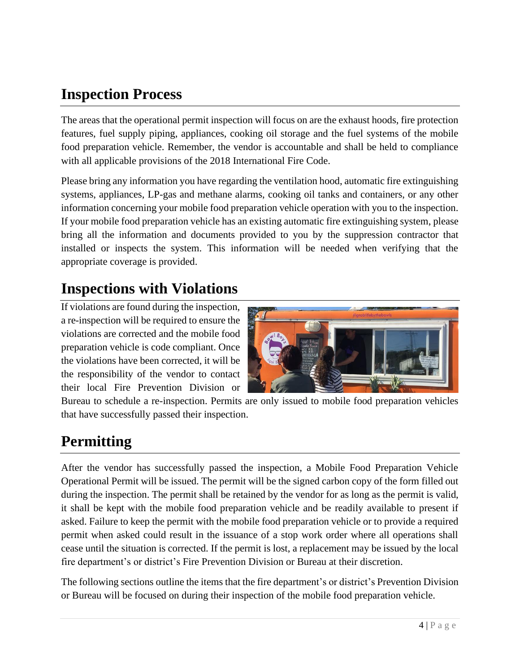## **Inspection Process**

The areas that the operational permit inspection will focus on are the exhaust hoods, fire protection features, fuel supply piping, appliances, cooking oil storage and the fuel systems of the mobile food preparation vehicle. Remember, the vendor is accountable and shall be held to compliance with all applicable provisions of the 2018 International Fire Code.

Please bring any information you have regarding the ventilation hood, automatic fire extinguishing systems, appliances, LP-gas and methane alarms, cooking oil tanks and containers, or any other information concerning your mobile food preparation vehicle operation with you to the inspection. If your mobile food preparation vehicle has an existing automatic fire extinguishing system, please bring all the information and documents provided to you by the suppression contractor that installed or inspects the system. This information will be needed when verifying that the appropriate coverage is provided.

#### **Inspections with Violations**

If violations are found during the inspection, a re-inspection will be required to ensure the violations are corrected and the mobile food preparation vehicle is code compliant. Once the violations have been corrected, it will be the responsibility of the vendor to contact their local Fire Prevention Division or



Bureau to schedule a re-inspection. Permits are only issued to mobile food preparation vehicles that have successfully passed their inspection.

#### **Permitting**

After the vendor has successfully passed the inspection, a Mobile Food Preparation Vehicle Operational Permit will be issued. The permit will be the signed carbon copy of the form filled out during the inspection. The permit shall be retained by the vendor for as long as the permit is valid, it shall be kept with the mobile food preparation vehicle and be readily available to present if asked. Failure to keep the permit with the mobile food preparation vehicle or to provide a required permit when asked could result in the issuance of a stop work order where all operations shall cease until the situation is corrected. If the permit is lost, a replacement may be issued by the local fire department's or district's Fire Prevention Division or Bureau at their discretion.

The following sections outline the items that the fire department's or district's Prevention Division or Bureau will be focused on during their inspection of the mobile food preparation vehicle.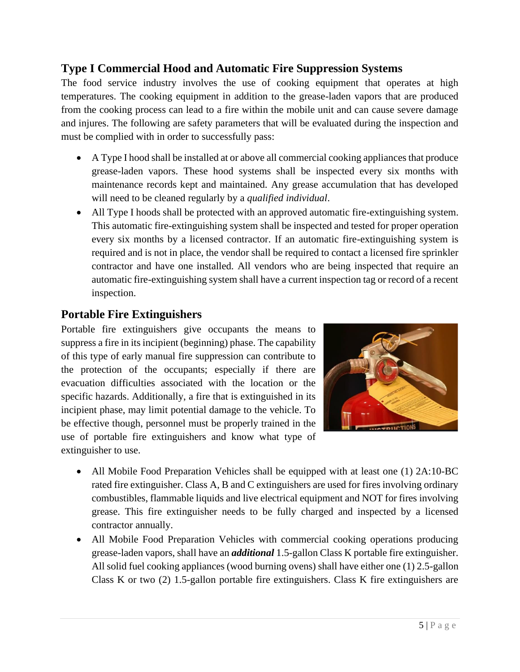#### **Type I Commercial Hood and Automatic Fire Suppression Systems**

The food service industry involves the use of cooking equipment that operates at high temperatures. The cooking equipment in addition to the grease-laden vapors that are produced from the cooking process can lead to a fire within the mobile unit and can cause severe damage and injures. The following are safety parameters that will be evaluated during the inspection and must be complied with in order to successfully pass:

- A Type I hood shall be installed at or above all commercial cooking appliances that produce grease-laden vapors. These hood systems shall be inspected every six months with maintenance records kept and maintained. Any grease accumulation that has developed will need to be cleaned regularly by a *qualified individual*.
- All Type I hoods shall be protected with an approved automatic fire-extinguishing system. This automatic fire-extinguishing system shall be inspected and tested for proper operation every six months by a licensed contractor. If an automatic fire-extinguishing system is required and is not in place, the vendor shall be required to contact a licensed fire sprinkler contractor and have one installed. All vendors who are being inspected that require an automatic fire-extinguishing system shall have a current inspection tag or record of a recent inspection.

#### **Portable Fire Extinguishers**

Portable fire extinguishers give occupants the means to suppress a fire in its incipient (beginning) phase. The capability of this type of early manual fire suppression can contribute to the protection of the occupants; especially if there are evacuation difficulties associated with the location or the specific hazards. Additionally, a fire that is extinguished in its incipient phase, may limit potential damage to the vehicle. To be effective though, personnel must be properly trained in the use of portable fire extinguishers and know what type of extinguisher to use.



- All Mobile Food Preparation Vehicles shall be equipped with at least one (1) 2A:10-BC rated fire extinguisher. Class A, B and C extinguishers are used for fires involving ordinary combustibles, flammable liquids and live electrical equipment and NOT for fires involving grease. This fire extinguisher needs to be fully charged and inspected by a licensed contractor annually.
- All Mobile Food Preparation Vehicles with commercial cooking operations producing grease-laden vapors, shall have an *additional* 1.5-gallon Class K portable fire extinguisher. All solid fuel cooking appliances (wood burning ovens) shall have either one (1) 2.5-gallon Class K or two (2) 1.5-gallon portable fire extinguishers. Class K fire extinguishers are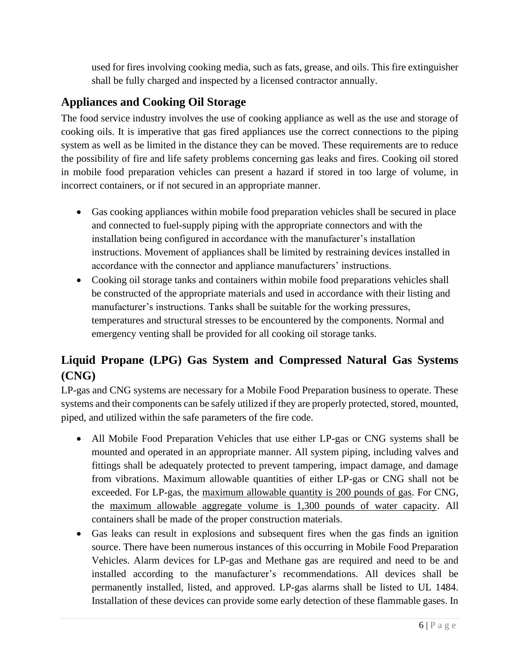used for fires involving cooking media, such as fats, grease, and oils. This fire extinguisher shall be fully charged and inspected by a licensed contractor annually.

#### **Appliances and Cooking Oil Storage**

The food service industry involves the use of cooking appliance as well as the use and storage of cooking oils. It is imperative that gas fired appliances use the correct connections to the piping system as well as be limited in the distance they can be moved. These requirements are to reduce the possibility of fire and life safety problems concerning gas leaks and fires. Cooking oil stored in mobile food preparation vehicles can present a hazard if stored in too large of volume, in incorrect containers, or if not secured in an appropriate manner.

- Gas cooking appliances within mobile food preparation vehicles shall be secured in place and connected to fuel-supply piping with the appropriate connectors and with the installation being configured in accordance with the manufacturer's installation instructions. Movement of appliances shall be limited by restraining devices installed in accordance with the connector and appliance manufacturers' instructions.
- Cooking oil storage tanks and containers within mobile food preparations vehicles shall be constructed of the appropriate materials and used in accordance with their listing and manufacturer's instructions. Tanks shall be suitable for the working pressures, temperatures and structural stresses to be encountered by the components. Normal and emergency venting shall be provided for all cooking oil storage tanks.

#### **Liquid Propane (LPG) Gas System and Compressed Natural Gas Systems (CNG)**

LP-gas and CNG systems are necessary for a Mobile Food Preparation business to operate. These systems and their components can be safely utilized if they are properly protected, stored, mounted, piped, and utilized within the safe parameters of the fire code.

- All Mobile Food Preparation Vehicles that use either LP-gas or CNG systems shall be mounted and operated in an appropriate manner. All system piping, including valves and fittings shall be adequately protected to prevent tampering, impact damage, and damage from vibrations. Maximum allowable quantities of either LP-gas or CNG shall not be exceeded. For LP-gas, the maximum allowable quantity is 200 pounds of gas. For CNG, the maximum allowable aggregate volume is 1,300 pounds of water capacity. All containers shall be made of the proper construction materials.
- Gas leaks can result in explosions and subsequent fires when the gas finds an ignition source. There have been numerous instances of this occurring in Mobile Food Preparation Vehicles. Alarm devices for LP-gas and Methane gas are required and need to be and installed according to the manufacturer's recommendations. All devices shall be permanently installed, listed, and approved. LP-gas alarms shall be listed to UL 1484. Installation of these devices can provide some early detection of these flammable gases. In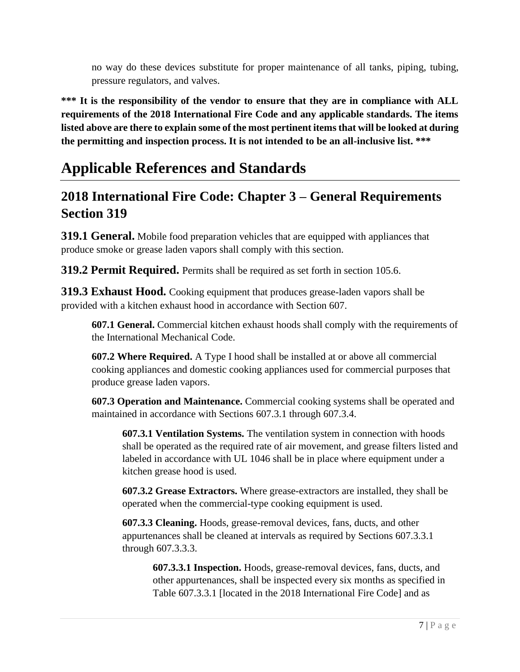no way do these devices substitute for proper maintenance of all tanks, piping, tubing, pressure regulators, and valves.

**\*\*\* It is the responsibility of the vendor to ensure that they are in compliance with ALL requirements of the 2018 International Fire Code and any applicable standards. The items listed above are there to explain some of the most pertinent items that will be looked at during the permitting and inspection process. It is not intended to be an all-inclusive list. \*\*\*** 

## **Applicable References and Standards**

#### **2018 International Fire Code: Chapter 3 – General Requirements Section 319**

**319.1 General.** Mobile food preparation vehicles that are equipped with appliances that produce smoke or grease laden vapors shall comply with this section.

**319.2 Permit Required.** Permits shall be required as set forth in section 105.6.

**319.3 Exhaust Hood.** Cooking equipment that produces grease-laden vapors shall be provided with a kitchen exhaust hood in accordance with Section 607.

**607.1 General.** Commercial kitchen exhaust hoods shall comply with the requirements of the International Mechanical Code.

**607.2 Where Required.** A Type I hood shall be installed at or above all commercial cooking appliances and domestic cooking appliances used for commercial purposes that produce grease laden vapors.

**607.3 Operation and Maintenance.** Commercial cooking systems shall be operated and maintained in accordance with Sections 607.3.1 through 607.3.4.

**607.3.1 Ventilation Systems.** The ventilation system in connection with hoods shall be operated as the required rate of air movement, and grease filters listed and labeled in accordance with UL 1046 shall be in place where equipment under a kitchen grease hood is used.

**607.3.2 Grease Extractors.** Where grease-extractors are installed, they shall be operated when the commercial-type cooking equipment is used.

**607.3.3 Cleaning.** Hoods, grease-removal devices, fans, ducts, and other appurtenances shall be cleaned at intervals as required by Sections 607.3.3.1 through 607.3.3.3.

**607.3.3.1 Inspection.** Hoods, grease-removal devices, fans, ducts, and other appurtenances, shall be inspected every six months as specified in Table 607.3.3.1 [located in the 2018 International Fire Code] and as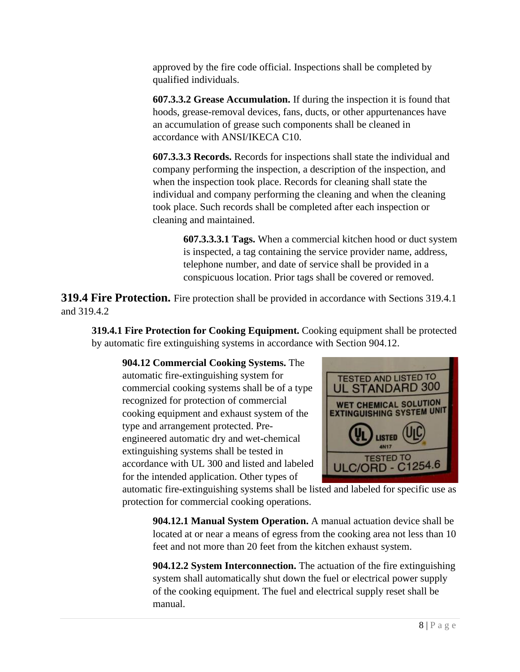approved by the fire code official. Inspections shall be completed by qualified individuals.

**607.3.3.2 Grease Accumulation.** If during the inspection it is found that hoods, grease-removal devices, fans, ducts, or other appurtenances have an accumulation of grease such components shall be cleaned in accordance with ANSI/IKECA C10.

**607.3.3.3 Records.** Records for inspections shall state the individual and company performing the inspection, a description of the inspection, and when the inspection took place. Records for cleaning shall state the individual and company performing the cleaning and when the cleaning took place. Such records shall be completed after each inspection or cleaning and maintained.

> **607.3.3.3.1 Tags.** When a commercial kitchen hood or duct system is inspected, a tag containing the service provider name, address, telephone number, and date of service shall be provided in a conspicuous location. Prior tags shall be covered or removed.

**319.4 Fire Protection.** Fire protection shall be provided in accordance with Sections 319.4.1 and 319.4.2

**319.4.1 Fire Protection for Cooking Equipment.** Cooking equipment shall be protected by automatic fire extinguishing systems in accordance with Section 904.12.

**904.12 Commercial Cooking Systems.** The automatic fire-extinguishing system for commercial cooking systems shall be of a type recognized for protection of commercial cooking equipment and exhaust system of the type and arrangement protected. Preengineered automatic dry and wet-chemical extinguishing systems shall be tested in accordance with UL 300 and listed and labeled for the intended application. Other types of



automatic fire-extinguishing systems shall be listed and labeled for specific use as protection for commercial cooking operations.

**904.12.1 Manual System Operation.** A manual actuation device shall be located at or near a means of egress from the cooking area not less than 10 feet and not more than 20 feet from the kitchen exhaust system.

**904.12.2 System Interconnection.** The actuation of the fire extinguishing system shall automatically shut down the fuel or electrical power supply of the cooking equipment. The fuel and electrical supply reset shall be manual.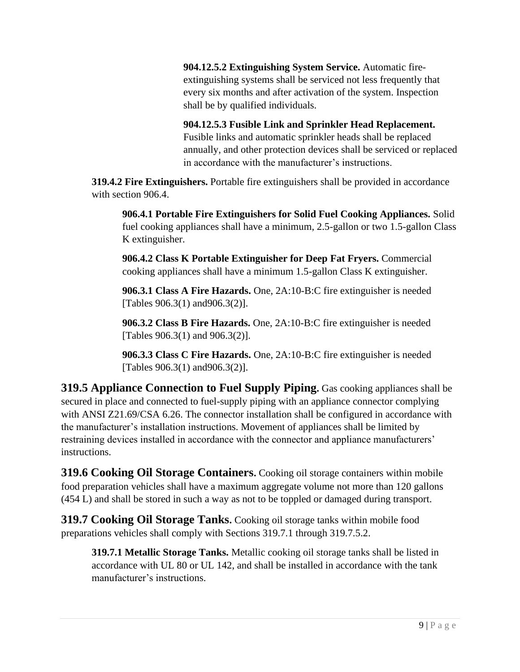**904.12.5.2 Extinguishing System Service.** Automatic fireextinguishing systems shall be serviced not less frequently that every six months and after activation of the system. Inspection shall be by qualified individuals.

**904.12.5.3 Fusible Link and Sprinkler Head Replacement.** Fusible links and automatic sprinkler heads shall be replaced annually, and other protection devices shall be serviced or replaced in accordance with the manufacturer's instructions.

**319.4.2 Fire Extinguishers.** Portable fire extinguishers shall be provided in accordance with section 906.4.

**906.4.1 Portable Fire Extinguishers for Solid Fuel Cooking Appliances.** Solid fuel cooking appliances shall have a minimum, 2.5-gallon or two 1.5-gallon Class K extinguisher.

**906.4.2 Class K Portable Extinguisher for Deep Fat Fryers.** Commercial cooking appliances shall have a minimum 1.5-gallon Class K extinguisher.

**906.3.1 Class A Fire Hazards.** One, 2A:10-B:C fire extinguisher is needed [Tables 906.3(1) and906.3(2)].

**906.3.2 Class B Fire Hazards.** One, 2A:10-B:C fire extinguisher is needed [Tables 906.3(1) and 906.3(2)].

**906.3.3 Class C Fire Hazards.** One, 2A:10-B:C fire extinguisher is needed [Tables 906.3(1) and906.3(2)].

**319.5 Appliance Connection to Fuel Supply Piping.** Gas cooking appliances shall be secured in place and connected to fuel-supply piping with an appliance connector complying with ANSI Z21.69/CSA 6.26. The connector installation shall be configured in accordance with the manufacturer's installation instructions. Movement of appliances shall be limited by restraining devices installed in accordance with the connector and appliance manufacturers' instructions.

**319.6 Cooking Oil Storage Containers.** Cooking oil storage containers within mobile food preparation vehicles shall have a maximum aggregate volume not more than 120 gallons (454 L) and shall be stored in such a way as not to be toppled or damaged during transport.

**319.7 Cooking Oil Storage Tanks.** Cooking oil storage tanks within mobile food preparations vehicles shall comply with Sections 319.7.1 through 319.7.5.2.

**319.7.1 Metallic Storage Tanks.** Metallic cooking oil storage tanks shall be listed in accordance with UL 80 or UL 142, and shall be installed in accordance with the tank manufacturer's instructions.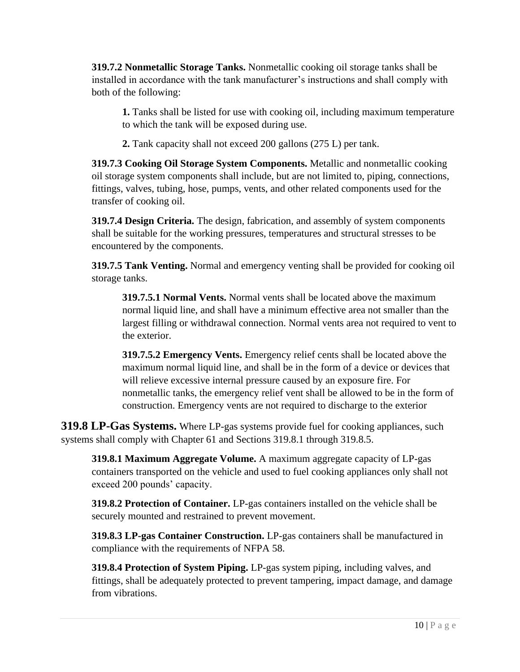**319.7.2 Nonmetallic Storage Tanks.** Nonmetallic cooking oil storage tanks shall be installed in accordance with the tank manufacturer's instructions and shall comply with both of the following:

**1.** Tanks shall be listed for use with cooking oil, including maximum temperature to which the tank will be exposed during use.

**2.** Tank capacity shall not exceed 200 gallons (275 L) per tank.

**319.7.3 Cooking Oil Storage System Components.** Metallic and nonmetallic cooking oil storage system components shall include, but are not limited to, piping, connections, fittings, valves, tubing, hose, pumps, vents, and other related components used for the transfer of cooking oil.

**319.7.4 Design Criteria.** The design, fabrication, and assembly of system components shall be suitable for the working pressures, temperatures and structural stresses to be encountered by the components.

**319.7.5 Tank Venting.** Normal and emergency venting shall be provided for cooking oil storage tanks.

**319.7.5.1 Normal Vents.** Normal vents shall be located above the maximum normal liquid line, and shall have a minimum effective area not smaller than the largest filling or withdrawal connection. Normal vents area not required to vent to the exterior.

**319.7.5.2 Emergency Vents.** Emergency relief cents shall be located above the maximum normal liquid line, and shall be in the form of a device or devices that will relieve excessive internal pressure caused by an exposure fire. For nonmetallic tanks, the emergency relief vent shall be allowed to be in the form of construction. Emergency vents are not required to discharge to the exterior

**319.8 LP-Gas Systems.** Where LP-gas systems provide fuel for cooking appliances, such systems shall comply with Chapter 61 and Sections 319.8.1 through 319.8.5.

**319.8.1 Maximum Aggregate Volume.** A maximum aggregate capacity of LP-gas containers transported on the vehicle and used to fuel cooking appliances only shall not exceed 200 pounds' capacity.

**319.8.2 Protection of Container.** LP-gas containers installed on the vehicle shall be securely mounted and restrained to prevent movement.

**319.8.3 LP-gas Container Construction.** LP-gas containers shall be manufactured in compliance with the requirements of NFPA 58.

**319.8.4 Protection of System Piping.** LP-gas system piping, including valves, and fittings, shall be adequately protected to prevent tampering, impact damage, and damage from vibrations.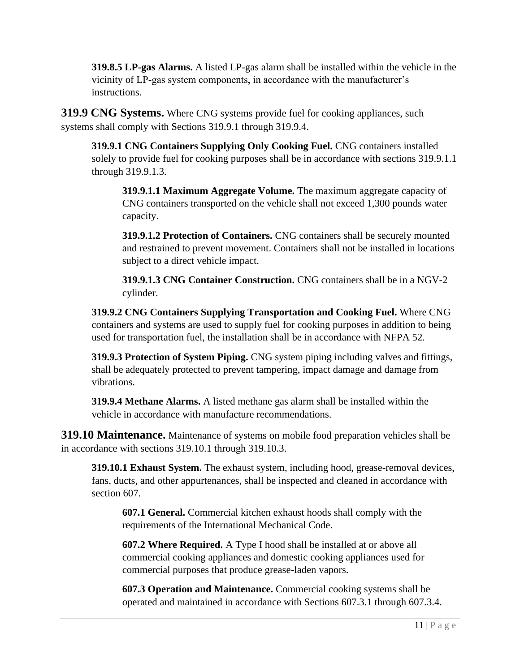**319.8.5 LP-gas Alarms.** A listed LP-gas alarm shall be installed within the vehicle in the vicinity of LP-gas system components, in accordance with the manufacturer's instructions.

**319.9 CNG Systems.** Where CNG systems provide fuel for cooking appliances, such systems shall comply with Sections 319.9.1 through 319.9.4.

**319.9.1 CNG Containers Supplying Only Cooking Fuel.** CNG containers installed solely to provide fuel for cooking purposes shall be in accordance with sections 319.9.1.1 through 319.9.1.3.

**319.9.1.1 Maximum Aggregate Volume.** The maximum aggregate capacity of CNG containers transported on the vehicle shall not exceed 1,300 pounds water capacity.

**319.9.1.2 Protection of Containers.** CNG containers shall be securely mounted and restrained to prevent movement. Containers shall not be installed in locations subject to a direct vehicle impact.

**319.9.1.3 CNG Container Construction.** CNG containers shall be in a NGV-2 cylinder.

**319.9.2 CNG Containers Supplying Transportation and Cooking Fuel.** Where CNG containers and systems are used to supply fuel for cooking purposes in addition to being used for transportation fuel, the installation shall be in accordance with NFPA 52.

**319.9.3 Protection of System Piping.** CNG system piping including valves and fittings, shall be adequately protected to prevent tampering, impact damage and damage from vibrations.

**319.9.4 Methane Alarms.** A listed methane gas alarm shall be installed within the vehicle in accordance with manufacture recommendations.

**319.10 Maintenance.** Maintenance of systems on mobile food preparation vehicles shall be in accordance with sections 319.10.1 through 319.10.3.

**319.10.1 Exhaust System.** The exhaust system, including hood, grease-removal devices, fans, ducts, and other appurtenances, shall be inspected and cleaned in accordance with section 607.

**607.1 General.** Commercial kitchen exhaust hoods shall comply with the requirements of the International Mechanical Code.

**607.2 Where Required.** A Type I hood shall be installed at or above all commercial cooking appliances and domestic cooking appliances used for commercial purposes that produce grease-laden vapors.

**607.3 Operation and Maintenance.** Commercial cooking systems shall be operated and maintained in accordance with Sections 607.3.1 through 607.3.4.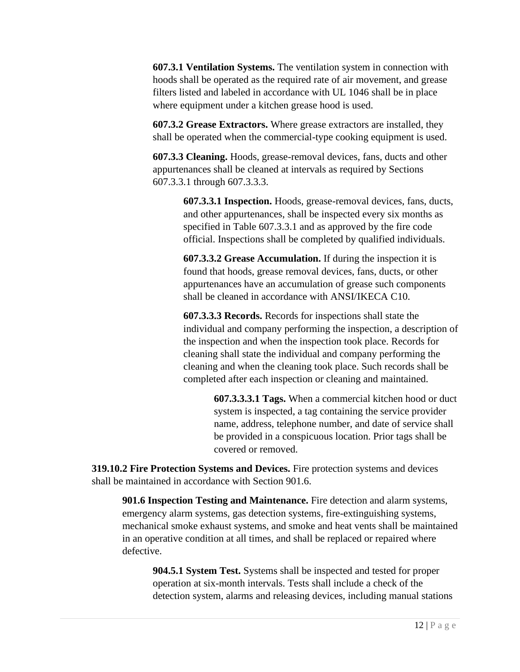**607.3.1 Ventilation Systems.** The ventilation system in connection with hoods shall be operated as the required rate of air movement, and grease filters listed and labeled in accordance with UL 1046 shall be in place where equipment under a kitchen grease hood is used.

**607.3.2 Grease Extractors.** Where grease extractors are installed, they shall be operated when the commercial-type cooking equipment is used.

**607.3.3 Cleaning.** Hoods, grease-removal devices, fans, ducts and other appurtenances shall be cleaned at intervals as required by Sections 607.3.3.1 through 607.3.3.3.

> **607.3.3.1 Inspection.** Hoods, grease-removal devices, fans, ducts, and other appurtenances, shall be inspected every six months as specified in Table 607.3.3.1 and as approved by the fire code official. Inspections shall be completed by qualified individuals.

**607.3.3.2 Grease Accumulation.** If during the inspection it is found that hoods, grease removal devices, fans, ducts, or other appurtenances have an accumulation of grease such components shall be cleaned in accordance with ANSI/IKECA C10.

**607.3.3.3 Records.** Records for inspections shall state the individual and company performing the inspection, a description of the inspection and when the inspection took place. Records for cleaning shall state the individual and company performing the cleaning and when the cleaning took place. Such records shall be completed after each inspection or cleaning and maintained.

> **607.3.3.3.1 Tags.** When a commercial kitchen hood or duct system is inspected, a tag containing the service provider name, address, telephone number, and date of service shall be provided in a conspicuous location. Prior tags shall be covered or removed.

**319.10.2 Fire Protection Systems and Devices.** Fire protection systems and devices shall be maintained in accordance with Section 901.6.

**901.6 Inspection Testing and Maintenance.** Fire detection and alarm systems, emergency alarm systems, gas detection systems, fire-extinguishing systems, mechanical smoke exhaust systems, and smoke and heat vents shall be maintained in an operative condition at all times, and shall be replaced or repaired where defective.

**904.5.1 System Test.** Systems shall be inspected and tested for proper operation at six-month intervals. Tests shall include a check of the detection system, alarms and releasing devices, including manual stations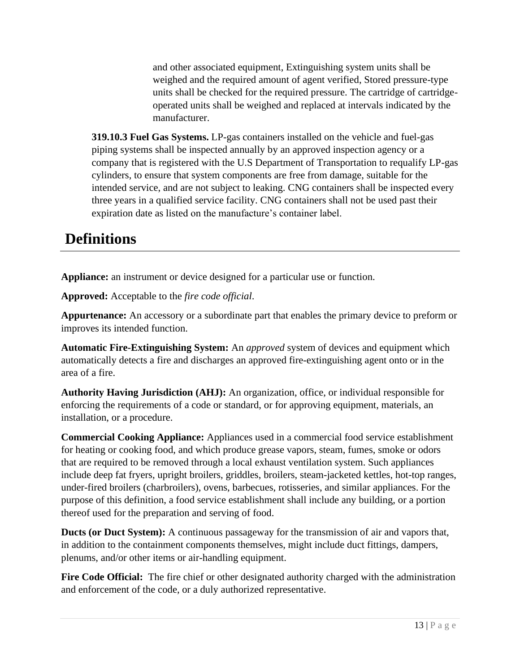and other associated equipment, Extinguishing system units shall be weighed and the required amount of agent verified, Stored pressure-type units shall be checked for the required pressure. The cartridge of cartridgeoperated units shall be weighed and replaced at intervals indicated by the manufacturer.

**319.10.3 Fuel Gas Systems.** LP-gas containers installed on the vehicle and fuel-gas piping systems shall be inspected annually by an approved inspection agency or a company that is registered with the U.S Department of Transportation to requalify LP-gas cylinders, to ensure that system components are free from damage, suitable for the intended service, and are not subject to leaking. CNG containers shall be inspected every three years in a qualified service facility. CNG containers shall not be used past their expiration date as listed on the manufacture's container label.

## **Definitions**

**Appliance:** an instrument or device designed for a particular use or function.

**Approved:** Acceptable to the *fire code official*.

**Appurtenance:** An accessory or a subordinate part that enables the primary device to preform or improves its intended function.

**Automatic Fire-Extinguishing System:** An *approved* system of devices and equipment which automatically detects a fire and discharges an approved fire-extinguishing agent onto or in the area of a fire.

**Authority Having Jurisdiction (AHJ):** An organization, office, or individual responsible for enforcing the requirements of a code or standard, or for approving equipment, materials, an installation, or a procedure.

**Commercial Cooking Appliance:** Appliances used in a commercial food service establishment for heating or cooking food, and which produce grease vapors, steam, fumes, smoke or odors that are required to be removed through a local exhaust ventilation system. Such appliances include deep fat fryers, upright broilers, griddles, broilers, steam-jacketed kettles, hot-top ranges, under-fired broilers (charbroilers), ovens, barbecues, rotisseries, and similar appliances. For the purpose of this definition, a food service establishment shall include any building, or a portion thereof used for the preparation and serving of food.

**Ducts (or Duct System):** A continuous passageway for the transmission of air and vapors that, in addition to the containment components themselves, might include duct fittings, dampers, plenums, and/or other items or air-handling equipment.

Fire Code Official: The fire chief or other designated authority charged with the administration and enforcement of the code, or a duly authorized representative.